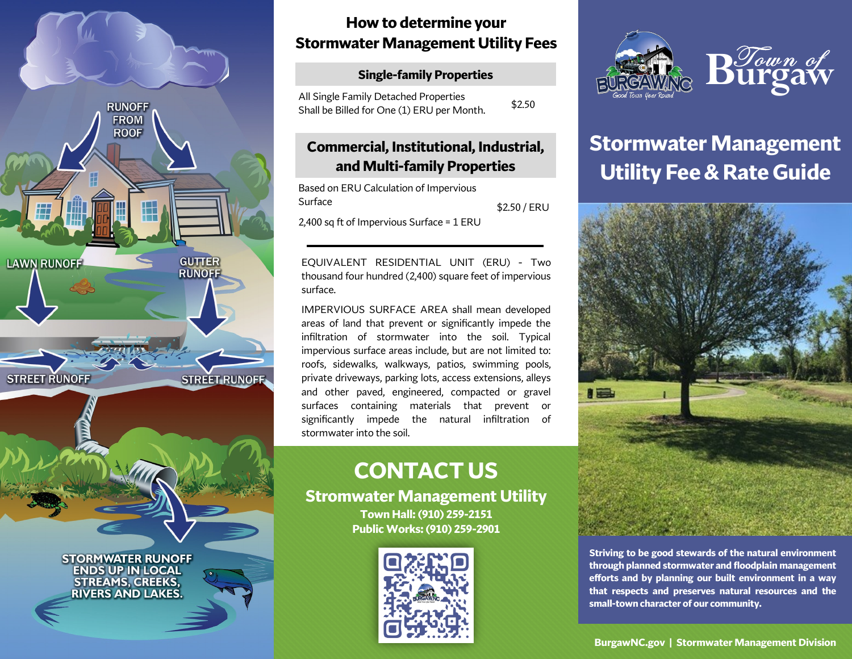

# **How to determine your Stormwater Management Utility Fees**

#### **Single-family Properties**

| All Single Family Detached Properties      | \$2.50 |
|--------------------------------------------|--------|
| Shall be Billed for One (1) ERU per Month. |        |

### **Commercial, Institutional, Industrial, and Multi-family Properties**

Based on ERU Calculation of Impervious Surface 2,400 sq ft of Impervious Surface = 1 ERU \$2.50 / ERU

EQUIVALENT RESIDENTIAL UNIT (ERU) - Two thousand four hundred (2,400) square feet of impervious surface.

IMPERVIOUS SURFACE AREA shall mean developed areas of land that prevent or significantly impede the infiltration of stormwater into the soil. Typical impervious surface areas include, but are not limited to: roofs, sidewalks, walkways, patios, swimming pools, private driveways, parking lots, access extensions, alleys and other paved, engineered, compacted or gravel surfaces containing materials that prevent or significantly impede the natural infiltration of stormwater into the soil.

# **CONTACT US**

**Stromwater Management Utility Town Hall: (910) 259-2151 Public Works: (910) 259-2901**





# **Stormwater Management Utility Fee & Rate Guide**



**Striving to be good stewards of the natural environment through planned stormwater and floodplain management efforts and by planning our built environment in a way that respects and preserves natural resources and the small-town character of our community.**

**BurgawNC.gov | Stormwater Management Division**